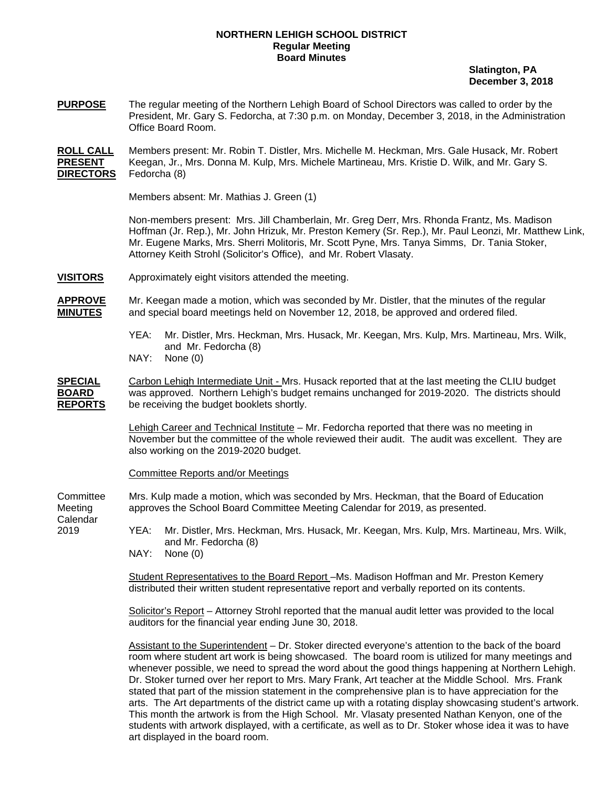## **NORTHERN LEHIGH SCHOOL DISTRICT Regular Meeting Board Minutes**

 **Slatington, PA December 3, 2018** 

**PURPOSE** The regular meeting of the Northern Lehigh Board of School Directors was called to order by the President, Mr. Gary S. Fedorcha, at 7:30 p.m. on Monday, December 3, 2018, in the Administration Office Board Room.

**ROLL CALL** Members present: Mr. Robin T. Distler, Mrs. Michelle M. Heckman, Mrs. Gale Husack, Mr. Robert **PRESENT** Keegan, Jr., Mrs. Donna M. Kulp, Mrs. Michele Martineau, Mrs. Kristie D. Wilk, and Mr. Gary S. **DIRECTORS** Fedorcha (8)

Members absent: Mr. Mathias J. Green (1)

Non-members present: Mrs. Jill Chamberlain, Mr. Greg Derr, Mrs. Rhonda Frantz, Ms. Madison Hoffman (Jr. Rep.), Mr. John Hrizuk, Mr. Preston Kemery (Sr. Rep.), Mr. Paul Leonzi, Mr. Matthew Link, Mr. Eugene Marks, Mrs. Sherri Molitoris, Mr. Scott Pyne, Mrs. Tanya Simms, Dr. Tania Stoker, Attorney Keith Strohl (Solicitor's Office), and Mr. Robert Vlasaty.

**VISITORS** Approximately eight visitors attended the meeting.

**APPROVE** Mr. Keegan made a motion, which was seconded by Mr. Distler, that the minutes of the regular **MINUTES** and special board meetings held on November 12, 2018, be approved and ordered filed.

- YEA: Mr. Distler, Mrs. Heckman, Mrs. Husack, Mr. Keegan, Mrs. Kulp, Mrs. Martineau, Mrs. Wilk, and Mr. Fedorcha (8)
- NAY: None (0)

**SPECIAL** Carbon Lehigh Intermediate Unit - Mrs. Husack reported that at the last meeting the CLIU budget **BOARD** was approved. Northern Lehigh's budget remains unchanged for 2019-2020. The districts should **REPORTS** be receiving the budget booklets shortly.

> Lehigh Career and Technical Institute – Mr. Fedorcha reported that there was no meeting in November but the committee of the whole reviewed their audit. The audit was excellent. They are also working on the 2019-2020 budget.

Committee Reports and/or Meetings

Committee Mrs. Kulp made a motion, which was seconded by Mrs. Heckman, that the Board of Education Meeting approves the School Board Committee Meeting Calendar for 2019, as presented.

Calendar

2019 YEA: Mr. Distler, Mrs. Heckman, Mrs. Husack, Mr. Keegan, Mrs. Kulp, Mrs. Martineau, Mrs. Wilk, and Mr. Fedorcha (8)

NAY: None (0)

 Student Representatives to the Board Report –Ms. Madison Hoffman and Mr. Preston Kemery distributed their written student representative report and verbally reported on its contents.

Solicitor's Report – Attorney Strohl reported that the manual audit letter was provided to the local auditors for the financial year ending June 30, 2018.

 Assistant to the Superintendent – Dr. Stoker directed everyone's attention to the back of the board room where student art work is being showcased. The board room is utilized for many meetings and whenever possible, we need to spread the word about the good things happening at Northern Lehigh. Dr. Stoker turned over her report to Mrs. Mary Frank, Art teacher at the Middle School. Mrs. Frank stated that part of the mission statement in the comprehensive plan is to have appreciation for the arts. The Art departments of the district came up with a rotating display showcasing student's artwork. This month the artwork is from the High School. Mr. Vlasaty presented Nathan Kenyon, one of the students with artwork displayed, with a certificate, as well as to Dr. Stoker whose idea it was to have art displayed in the board room.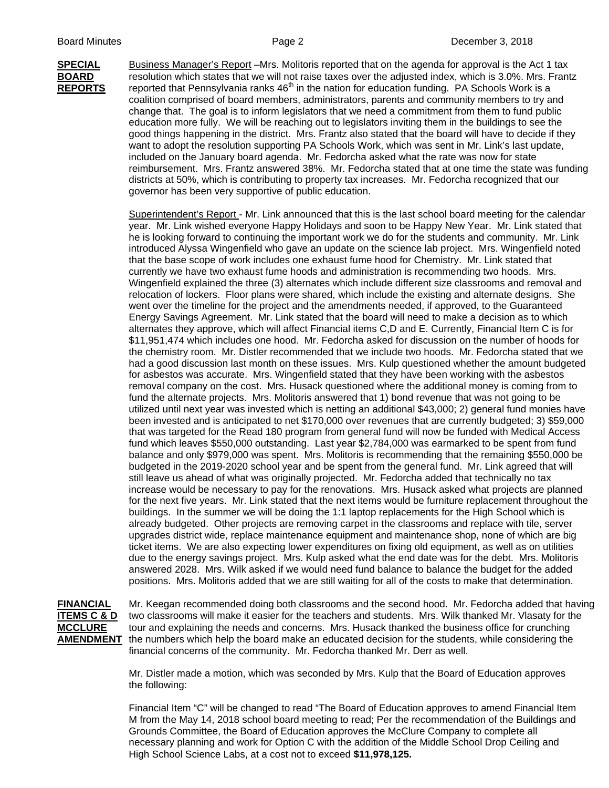**SPECIAL** Business Manager's Report –Mrs. Molitoris reported that on the agenda for approval is the Act 1 tax **BOARD** resolution which states that we will not raise taxes over the adjusted index, which is 3.0%. Mrs. Frantz **REPORTS** reported that Pennsylvania ranks 46<sup>th</sup> in the nation for education funding. PA Schools Work is a coalition comprised of board members, administrators, parents and community members to try and change that. The goal is to inform legislators that we need a commitment from them to fund public education more fully. We will be reaching out to legislators inviting them in the buildings to see the good things happening in the district. Mrs. Frantz also stated that the board will have to decide if they want to adopt the resolution supporting PA Schools Work, which was sent in Mr. Link's last update, included on the January board agenda. Mr. Fedorcha asked what the rate was now for state reimbursement. Mrs. Frantz answered 38%. Mr. Fedorcha stated that at one time the state was funding districts at 50%, which is contributing to property tax increases. Mr. Fedorcha recognized that our governor has been very supportive of public education.

> Superintendent's Report - Mr. Link announced that this is the last school board meeting for the calendar year. Mr. Link wished everyone Happy Holidays and soon to be Happy New Year. Mr. Link stated that he is looking forward to continuing the important work we do for the students and community. Mr. Link introduced Alyssa Wingenfield who gave an update on the science lab project. Mrs. Wingenfield noted that the base scope of work includes one exhaust fume hood for Chemistry. Mr. Link stated that currently we have two exhaust fume hoods and administration is recommending two hoods. Mrs. Wingenfield explained the three (3) alternates which include different size classrooms and removal and relocation of lockers. Floor plans were shared, which include the existing and alternate designs. She went over the timeline for the project and the amendments needed, if approved, to the Guaranteed Energy Savings Agreement. Mr. Link stated that the board will need to make a decision as to which alternates they approve, which will affect Financial items C,D and E. Currently, Financial Item C is for \$11,951,474 which includes one hood. Mr. Fedorcha asked for discussion on the number of hoods for the chemistry room. Mr. Distler recommended that we include two hoods. Mr. Fedorcha stated that we had a good discussion last month on these issues. Mrs. Kulp questioned whether the amount budgeted for asbestos was accurate. Mrs. Wingenfield stated that they have been working with the asbestos removal company on the cost. Mrs. Husack questioned where the additional money is coming from to fund the alternate projects. Mrs. Molitoris answered that 1) bond revenue that was not going to be utilized until next year was invested which is netting an additional \$43,000; 2) general fund monies have been invested and is anticipated to net \$170,000 over revenues that are currently budgeted; 3) \$59,000 that was targeted for the Read 180 program from general fund will now be funded with Medical Access fund which leaves \$550,000 outstanding. Last year \$2,784,000 was earmarked to be spent from fund balance and only \$979,000 was spent. Mrs. Molitoris is recommending that the remaining \$550,000 be budgeted in the 2019-2020 school year and be spent from the general fund. Mr. Link agreed that will still leave us ahead of what was originally projected. Mr. Fedorcha added that technically no tax increase would be necessary to pay for the renovations. Mrs. Husack asked what projects are planned for the next five years. Mr. Link stated that the next items would be furniture replacement throughout the buildings. In the summer we will be doing the 1:1 laptop replacements for the High School which is already budgeted. Other projects are removing carpet in the classrooms and replace with tile, server upgrades district wide, replace maintenance equipment and maintenance shop, none of which are big ticket items. We are also expecting lower expenditures on fixing old equipment, as well as on utilities due to the energy savings project. Mrs. Kulp asked what the end date was for the debt. Mrs. Molitoris answered 2028. Mrs. Wilk asked if we would need fund balance to balance the budget for the added positions. Mrs. Molitoris added that we are still waiting for all of the costs to make that determination.

**FINANCIAL** Mr. Keegan recommended doing both classrooms and the second hood. Mr. Fedorcha added that having **ITEMS C & D** two classrooms will make it easier for the teachers and students. Mrs. Wilk thanked Mr. Vlasaty for the **MCCLURE** tour and explaining the needs and concerns. Mrs. Husack thanked the business office for crunching **AMENDMENT** the numbers which help the board make an educated decision for the students, while considering the financial concerns of the community. Mr. Fedorcha thanked Mr. Derr as well.

> Mr. Distler made a motion, which was seconded by Mrs. Kulp that the Board of Education approves the following:

Financial Item "C" will be changed to read "The Board of Education approves to amend Financial Item M from the May 14, 2018 school board meeting to read; Per the recommendation of the Buildings and Grounds Committee, the Board of Education approves the McClure Company to complete all necessary planning and work for Option C with the addition of the Middle School Drop Ceiling and High School Science Labs, at a cost not to exceed **\$11,978,125.**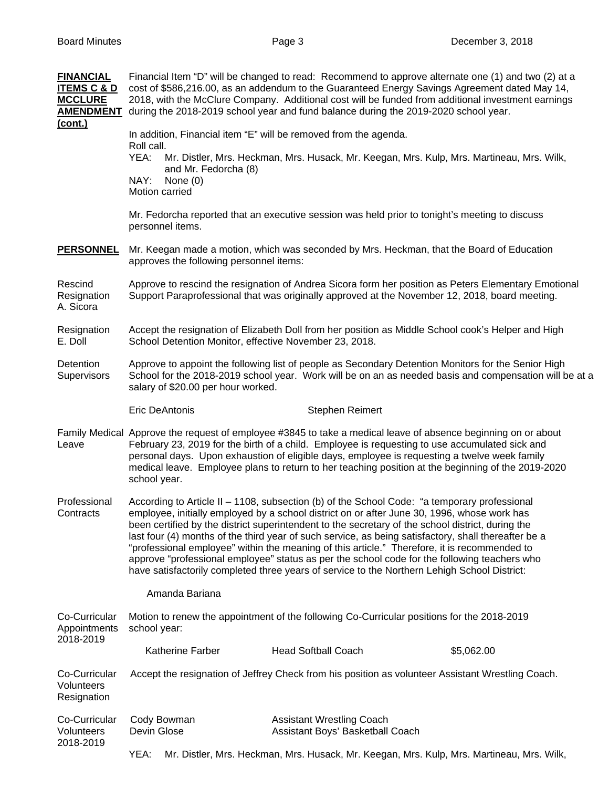| <b>FINANCIAL</b><br><b>ITEMS C &amp; D</b><br><b>MCCLURE</b><br><b>AMENDMENT</b><br>(cont.) | Financial Item "D" will be changed to read: Recommend to approve alternate one (1) and two (2) at a<br>cost of \$586,216.00, as an addendum to the Guaranteed Energy Savings Agreement dated May 14,<br>2018, with the McClure Company. Additional cost will be funded from additional investment earnings<br>during the 2018-2019 school year and fund balance during the 2019-2020 school year.                                                                                                                                                                                                                                                                                                                          |                                                                                                                                 |                                                                      |                 |                                                                                           |  |
|---------------------------------------------------------------------------------------------|----------------------------------------------------------------------------------------------------------------------------------------------------------------------------------------------------------------------------------------------------------------------------------------------------------------------------------------------------------------------------------------------------------------------------------------------------------------------------------------------------------------------------------------------------------------------------------------------------------------------------------------------------------------------------------------------------------------------------|---------------------------------------------------------------------------------------------------------------------------------|----------------------------------------------------------------------|-----------------|-------------------------------------------------------------------------------------------|--|
|                                                                                             | In addition, Financial item "E" will be removed from the agenda.<br>Roll call.                                                                                                                                                                                                                                                                                                                                                                                                                                                                                                                                                                                                                                             |                                                                                                                                 |                                                                      |                 |                                                                                           |  |
|                                                                                             | YEA:                                                                                                                                                                                                                                                                                                                                                                                                                                                                                                                                                                                                                                                                                                                       | Mr. Distler, Mrs. Heckman, Mrs. Husack, Mr. Keegan, Mrs. Kulp, Mrs. Martineau, Mrs. Wilk,<br>and Mr. Fedorcha (8)<br>None $(0)$ |                                                                      |                 |                                                                                           |  |
|                                                                                             | NAY:<br>Motion carried                                                                                                                                                                                                                                                                                                                                                                                                                                                                                                                                                                                                                                                                                                     |                                                                                                                                 |                                                                      |                 |                                                                                           |  |
|                                                                                             | Mr. Fedorcha reported that an executive session was held prior to tonight's meeting to discuss<br>personnel items.                                                                                                                                                                                                                                                                                                                                                                                                                                                                                                                                                                                                         |                                                                                                                                 |                                                                      |                 |                                                                                           |  |
| <b>PERSONNEL</b>                                                                            | Mr. Keegan made a motion, which was seconded by Mrs. Heckman, that the Board of Education<br>approves the following personnel items:                                                                                                                                                                                                                                                                                                                                                                                                                                                                                                                                                                                       |                                                                                                                                 |                                                                      |                 |                                                                                           |  |
| Rescind<br>Resignation<br>A. Sicora                                                         | Approve to rescind the resignation of Andrea Sicora form her position as Peters Elementary Emotional<br>Support Paraprofessional that was originally approved at the November 12, 2018, board meeting.                                                                                                                                                                                                                                                                                                                                                                                                                                                                                                                     |                                                                                                                                 |                                                                      |                 |                                                                                           |  |
| Resignation<br>E. Doll                                                                      | Accept the resignation of Elizabeth Doll from her position as Middle School cook's Helper and High<br>School Detention Monitor, effective November 23, 2018.                                                                                                                                                                                                                                                                                                                                                                                                                                                                                                                                                               |                                                                                                                                 |                                                                      |                 |                                                                                           |  |
| Detention<br>Supervisors                                                                    | Approve to appoint the following list of people as Secondary Detention Monitors for the Senior High<br>School for the 2018-2019 school year. Work will be on an as needed basis and compensation will be at a<br>salary of \$20.00 per hour worked.                                                                                                                                                                                                                                                                                                                                                                                                                                                                        |                                                                                                                                 |                                                                      |                 |                                                                                           |  |
|                                                                                             |                                                                                                                                                                                                                                                                                                                                                                                                                                                                                                                                                                                                                                                                                                                            | <b>Eric DeAntonis</b>                                                                                                           |                                                                      | Stephen Reimert |                                                                                           |  |
| Leave                                                                                       | Family Medical Approve the request of employee #3845 to take a medical leave of absence beginning on or about<br>February 23, 2019 for the birth of a child. Employee is requesting to use accumulated sick and<br>personal days. Upon exhaustion of eligible days, employee is requesting a twelve week family<br>medical leave. Employee plans to return to her teaching position at the beginning of the 2019-2020<br>school year.                                                                                                                                                                                                                                                                                      |                                                                                                                                 |                                                                      |                 |                                                                                           |  |
| Professional<br>Contracts                                                                   | According to Article II - 1108, subsection (b) of the School Code: "a temporary professional<br>employee, initially employed by a school district on or after June 30, 1996, whose work has<br>been certified by the district superintendent to the secretary of the school district, during the<br>last four (4) months of the third year of such service, as being satisfactory, shall thereafter be a<br>"professional employee" within the meaning of this article." Therefore, it is recommended to<br>approve "professional employee" status as per the school code for the following teachers who<br>have satisfactorily completed three years of service to the Northern Lehigh School District:<br>Amanda Bariana |                                                                                                                                 |                                                                      |                 |                                                                                           |  |
|                                                                                             |                                                                                                                                                                                                                                                                                                                                                                                                                                                                                                                                                                                                                                                                                                                            |                                                                                                                                 |                                                                      |                 |                                                                                           |  |
| Co-Curricular<br>Appointments<br>2018-2019                                                  | Motion to renew the appointment of the following Co-Curricular positions for the 2018-2019<br>school year:                                                                                                                                                                                                                                                                                                                                                                                                                                                                                                                                                                                                                 |                                                                                                                                 |                                                                      |                 |                                                                                           |  |
|                                                                                             |                                                                                                                                                                                                                                                                                                                                                                                                                                                                                                                                                                                                                                                                                                                            | Katherine Farber                                                                                                                | <b>Head Softball Coach</b>                                           |                 | \$5,062.00                                                                                |  |
| Co-Curricular<br>Volunteers<br>Resignation                                                  | Accept the resignation of Jeffrey Check from his position as volunteer Assistant Wrestling Coach.                                                                                                                                                                                                                                                                                                                                                                                                                                                                                                                                                                                                                          |                                                                                                                                 |                                                                      |                 |                                                                                           |  |
| Co-Curricular<br>Volunteers<br>2018-2019                                                    | Cody Bowman<br>Devin Glose                                                                                                                                                                                                                                                                                                                                                                                                                                                                                                                                                                                                                                                                                                 |                                                                                                                                 | <b>Assistant Wrestling Coach</b><br>Assistant Boys' Basketball Coach |                 |                                                                                           |  |
|                                                                                             | YEA:                                                                                                                                                                                                                                                                                                                                                                                                                                                                                                                                                                                                                                                                                                                       |                                                                                                                                 |                                                                      |                 | Mr. Distler, Mrs. Heckman, Mrs. Husack, Mr. Keegan, Mrs. Kulp, Mrs. Martineau, Mrs. Wilk, |  |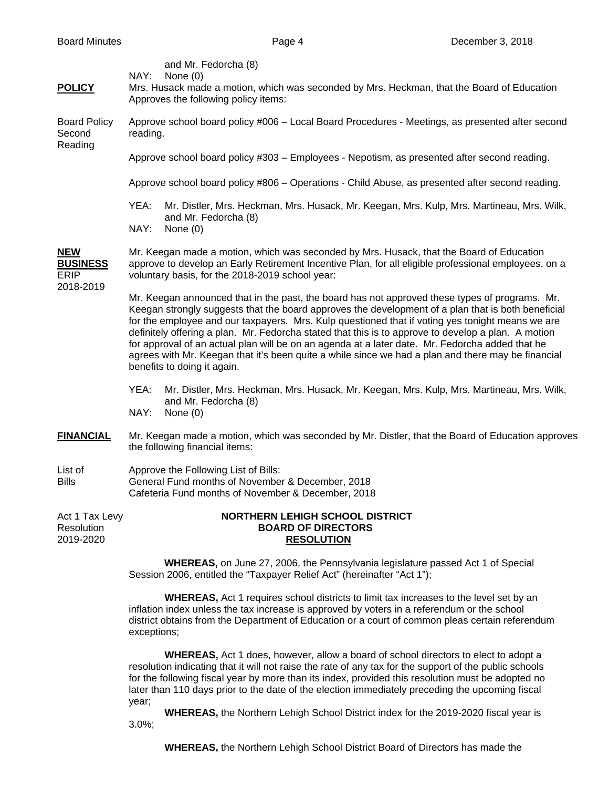| <b>POLICY</b>                                             | and Mr. Fedorcha (8)<br>NAY:<br>None $(0)$<br>Mrs. Husack made a motion, which was seconded by Mrs. Heckman, that the Board of Education<br>Approves the following policy items:                                                                                                                                                                                                                                                                                                                                                                                                                                                                        |                                                                                                                                                                    |  |  |  |
|-----------------------------------------------------------|---------------------------------------------------------------------------------------------------------------------------------------------------------------------------------------------------------------------------------------------------------------------------------------------------------------------------------------------------------------------------------------------------------------------------------------------------------------------------------------------------------------------------------------------------------------------------------------------------------------------------------------------------------|--------------------------------------------------------------------------------------------------------------------------------------------------------------------|--|--|--|
| <b>Board Policy</b><br>Second<br>Reading                  | Approve school board policy #006 - Local Board Procedures - Meetings, as presented after second<br>reading.                                                                                                                                                                                                                                                                                                                                                                                                                                                                                                                                             |                                                                                                                                                                    |  |  |  |
|                                                           | Approve school board policy #303 - Employees - Nepotism, as presented after second reading.                                                                                                                                                                                                                                                                                                                                                                                                                                                                                                                                                             |                                                                                                                                                                    |  |  |  |
|                                                           | Approve school board policy #806 - Operations - Child Abuse, as presented after second reading.                                                                                                                                                                                                                                                                                                                                                                                                                                                                                                                                                         |                                                                                                                                                                    |  |  |  |
|                                                           | YEA:                                                                                                                                                                                                                                                                                                                                                                                                                                                                                                                                                                                                                                                    | Mr. Distler, Mrs. Heckman, Mrs. Husack, Mr. Keegan, Mrs. Kulp, Mrs. Martineau, Mrs. Wilk,<br>and Mr. Fedorcha (8)                                                  |  |  |  |
|                                                           | NAY:<br>None $(0)$                                                                                                                                                                                                                                                                                                                                                                                                                                                                                                                                                                                                                                      |                                                                                                                                                                    |  |  |  |
| <b>NEW</b><br><b>BUSINESS</b><br><b>ERIP</b><br>2018-2019 | Mr. Keegan made a motion, which was seconded by Mrs. Husack, that the Board of Education<br>approve to develop an Early Retirement Incentive Plan, for all eligible professional employees, on a<br>voluntary basis, for the 2018-2019 school year:                                                                                                                                                                                                                                                                                                                                                                                                     |                                                                                                                                                                    |  |  |  |
|                                                           | Mr. Keegan announced that in the past, the board has not approved these types of programs. Mr.<br>Keegan strongly suggests that the board approves the development of a plan that is both beneficial<br>for the employee and our taxpayers. Mrs. Kulp questioned that if voting yes tonight means we are<br>definitely offering a plan. Mr. Fedorcha stated that this is to approve to develop a plan. A motion<br>for approval of an actual plan will be on an agenda at a later date. Mr. Fedorcha added that he<br>agrees with Mr. Keegan that it's been quite a while since we had a plan and there may be financial<br>benefits to doing it again. |                                                                                                                                                                    |  |  |  |
|                                                           | YEA:<br>NAY:<br>None $(0)$                                                                                                                                                                                                                                                                                                                                                                                                                                                                                                                                                                                                                              | Mr. Distler, Mrs. Heckman, Mrs. Husack, Mr. Keegan, Mrs. Kulp, Mrs. Martineau, Mrs. Wilk,<br>and Mr. Fedorcha (8)                                                  |  |  |  |
| <b>FINANCIAL</b>                                          | Mr. Keegan made a motion, which was seconded by Mr. Distler, that the Board of Education approves<br>the following financial items:                                                                                                                                                                                                                                                                                                                                                                                                                                                                                                                     |                                                                                                                                                                    |  |  |  |
| List of<br><b>Bills</b>                                   | Approve the Following List of Bills:<br>General Fund months of November & December, 2018<br>Cafeteria Fund months of November & December, 2018                                                                                                                                                                                                                                                                                                                                                                                                                                                                                                          |                                                                                                                                                                    |  |  |  |
| Act 1 Tax Levy<br>Resolution<br>2019-2020                 | <b>NORTHERN LEHIGH SCHOOL DISTRICT</b><br><b>BOARD OF DIRECTORS</b><br><b>RESOLUTION</b>                                                                                                                                                                                                                                                                                                                                                                                                                                                                                                                                                                |                                                                                                                                                                    |  |  |  |
|                                                           |                                                                                                                                                                                                                                                                                                                                                                                                                                                                                                                                                                                                                                                         | <b>WHEREAS</b> , on June 27, 2006, the Pennsylvania legislature passed Act 1 of Special<br>Session 2006, entitled the "Taxpayer Relief Act" (hereinafter "Act 1"); |  |  |  |
|                                                           |                                                                                                                                                                                                                                                                                                                                                                                                                                                                                                                                                                                                                                                         | <b>WHEREAS</b> Act 1 requires school districts to limit tax increases to the level set by an                                                                       |  |  |  |

 **WHEREAS,** Act 1 requires school districts to limit tax increases to the level set by an inflation index unless the tax increase is approved by voters in a referendum or the school district obtains from the Department of Education or a court of common pleas certain referendum exceptions;

 **WHEREAS,** Act 1 does, however, allow a board of school directors to elect to adopt a resolution indicating that it will not raise the rate of any tax for the support of the public schools for the following fiscal year by more than its index, provided this resolution must be adopted no later than 110 days prior to the date of the election immediately preceding the upcoming fiscal year;

 **WHEREAS,** the Northern Lehigh School District index for the 2019-2020 fiscal year is 3.0%;

**WHEREAS,** the Northern Lehigh School District Board of Directors has made the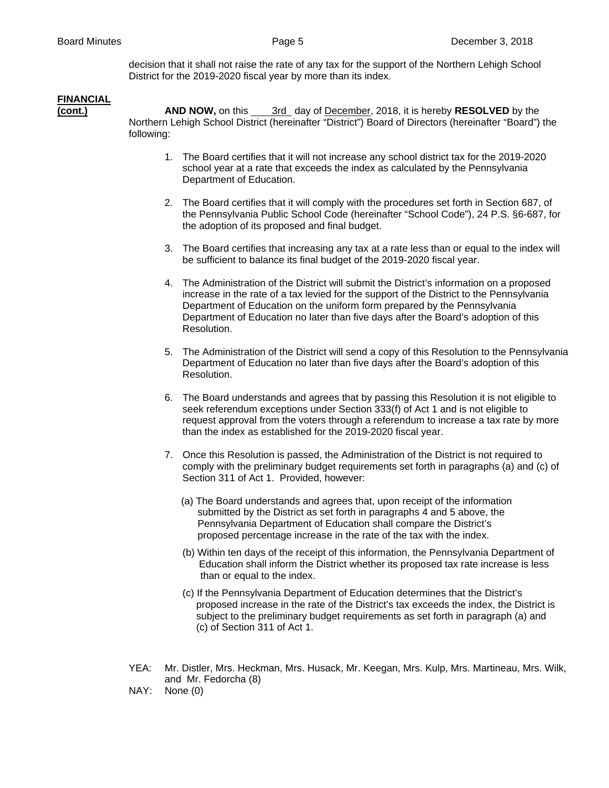decision that it shall not raise the rate of any tax for the support of the Northern Lehigh School District for the 2019-2020 fiscal year by more than its index.

## **FINANCIAL**

**(cont.) AND NOW,** on this 3rd day of December, 2018, it is hereby **RESOLVED** by the Northern Lehigh School District (hereinafter "District") Board of Directors (hereinafter "Board") the following:

- 1. The Board certifies that it will not increase any school district tax for the 2019-2020 school year at a rate that exceeds the index as calculated by the Pennsylvania Department of Education.
- 2. The Board certifies that it will comply with the procedures set forth in Section 687, of the Pennsylvania Public School Code (hereinafter "School Code"), 24 P.S. §6-687, for the adoption of its proposed and final budget.
- 3. The Board certifies that increasing any tax at a rate less than or equal to the index will be sufficient to balance its final budget of the 2019-2020 fiscal year.
- 4. The Administration of the District will submit the District's information on a proposed increase in the rate of a tax levied for the support of the District to the Pennsylvania Department of Education on the uniform form prepared by the Pennsylvania Department of Education no later than five days after the Board's adoption of this Resolution.
- 5. The Administration of the District will send a copy of this Resolution to the Pennsylvania Department of Education no later than five days after the Board's adoption of this Resolution.
- 6. The Board understands and agrees that by passing this Resolution it is not eligible to seek referendum exceptions under Section 333(f) of Act 1 and is not eligible to request approval from the voters through a referendum to increase a tax rate by more than the index as established for the 2019-2020 fiscal year.
- 7. Once this Resolution is passed, the Administration of the District is not required to comply with the preliminary budget requirements set forth in paragraphs (a) and (c) of Section 311 of Act 1. Provided, however:
	- (a) The Board understands and agrees that, upon receipt of the information submitted by the District as set forth in paragraphs 4 and 5 above, the Pennsylvania Department of Education shall compare the District's proposed percentage increase in the rate of the tax with the index.
	- (b) Within ten days of the receipt of this information, the Pennsylvania Department of Education shall inform the District whether its proposed tax rate increase is less than or equal to the index.
	- (c) If the Pennsylvania Department of Education determines that the District's proposed increase in the rate of the District's tax exceeds the index, the District is subject to the preliminary budget requirements as set forth in paragraph (a) and (c) of Section 311 of Act 1.
- YEA: Mr. Distler, Mrs. Heckman, Mrs. Husack, Mr. Keegan, Mrs. Kulp, Mrs. Martineau, Mrs. Wilk, and Mr. Fedorcha (8)
- NAY: None (0)